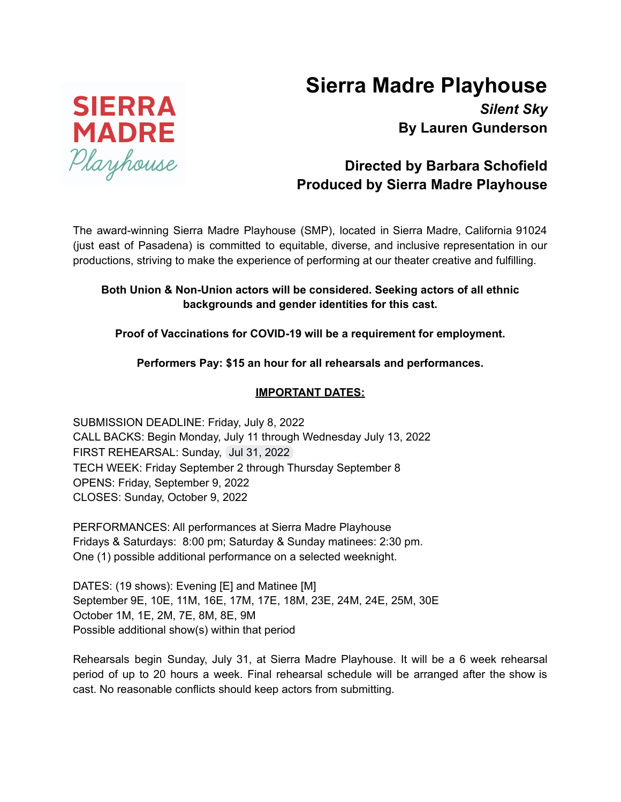# **Sierra Madre Playhouse**



# **Directed by Barbara Schofield Produced by Sierra Madre Playhouse**

The award-winning Sierra Madre Playhouse (SMP), located in Sierra Madre, California 91024 (just east of Pasadena) is committed to equitable, diverse, and inclusive representation in our productions, striving to make the experience of performing at our theater creative and fulfilling.

# **Both Union & Non-Union actors will be considered. Seeking actors of all ethnic backgrounds and gender identities for this cast.**

## **Proof of Vaccinations for COVID-19 will be a requirement for employment.**

# **Performers Pay: \$15 an hour for all rehearsals and performances.**

## **IMPORTANT DATES:**

SUBMISSION DEADLINE: Friday, July 8, 2022 CALL BACKS: Begin Monday, July 11 through Wednesday July 13, 2022 FIRST REHEARSAL: Sunday, Jul 31, 2022 TECH WEEK: Friday September 2 through Thursday September 8 OPENS: Friday, September 9, 2022 CLOSES: Sunday, October 9, 2022

PERFORMANCES: All performances at Sierra Madre Playhouse Fridays & Saturdays: 8:00 pm; Saturday & Sunday matinees: 2:30 pm. One (1) possible additional performance on a selected weeknight.

DATES: (19 shows): Evening [E] and Matinee [M] September 9E, 10E, 11M, 16E, 17M, 17E, 18M, 23E, 24M, 24E, 25M, 30E October 1M, 1E, 2M, 7E, 8M, 8E, 9M Possible additional show(s) within that period

Rehearsals begin Sunday, July 31, at Sierra Madre Playhouse. It will be a 6 week rehearsal period of up to 20 hours a week. Final rehearsal schedule will be arranged after the show is cast. No reasonable conflicts should keep actors from submitting.

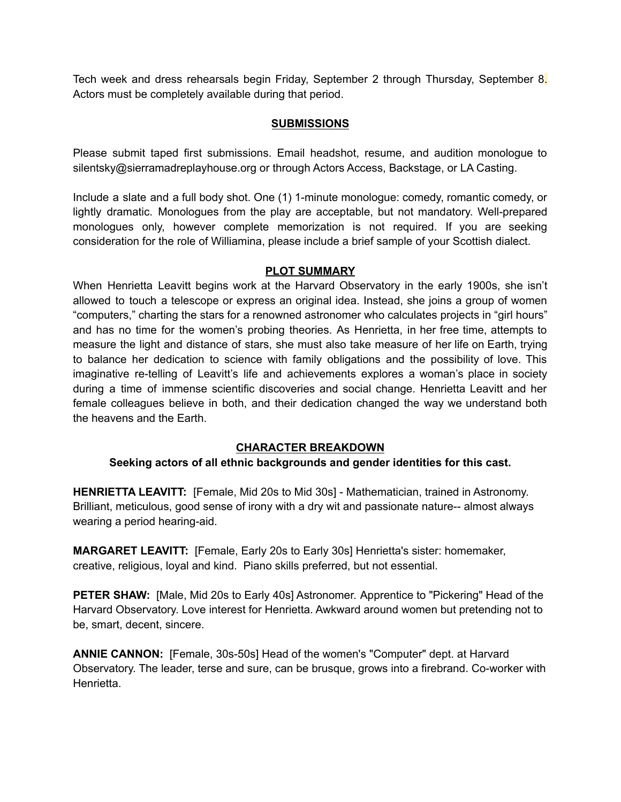Tech week and dress rehearsals begin Friday, September 2 through Thursday, September 8. Actors must be completely available during that period.

#### **SUBMISSIONS**

Please submit taped first submissions. Email headshot, resume, and audition monologue to silentsky@sierramadreplayhouse.org or through Actors Access, Backstage, or LA Casting.

Include a slate and a full body shot. One (1) 1-minute monologue: comedy, romantic comedy, or lightly dramatic. Monologues from the play are acceptable, but not mandatory. Well-prepared monologues only, however complete memorization is not required. If you are seeking consideration for the role of Williamina, please include a brief sample of your Scottish dialect.

#### **PLOT SUMMARY**

When Henrietta Leavitt begins work at the Harvard Observatory in the early 1900s, she isn't allowed to touch a telescope or express an original idea. Instead, she joins a group of women "computers," charting the stars for a renowned astronomer who calculates projects in "girl hours" and has no time for the women's probing theories. As Henrietta, in her free time, attempts to measure the light and distance of stars, she must also take measure of her life on Earth, trying to balance her dedication to science with family obligations and the possibility of love. This imaginative re-telling of Leavitt's life and achievements explores a woman's place in society during a time of immense scientific discoveries and social change. Henrietta Leavitt and her female colleagues believe in both, and their dedication changed the way we understand both the heavens and the Earth.

#### **CHARACTER BREAKDOWN**

#### **Seeking actors of all ethnic backgrounds and gender identities for this cast.**

**HENRIETTA LEAVITT:** [Female, Mid 20s to Mid 30s] - Mathematician, trained in Astronomy. Brilliant, meticulous, good sense of irony with a dry wit and passionate nature-- almost always wearing a period hearing-aid.

**MARGARET LEAVITT:** [Female, Early 20s to Early 30s] Henrietta's sister: homemaker, creative, religious, loyal and kind. Piano skills preferred, but not essential.

**PETER SHAW:** [Male, Mid 20s to Early 40s] Astronomer. Apprentice to "Pickering" Head of the Harvard Observatory. Love interest for Henrietta. Awkward around women but pretending not to be, smart, decent, sincere.

**ANNIE CANNON:** [Female, 30s-50s] Head of the women's "Computer" dept. at Harvard Observatory. The leader, terse and sure, can be brusque, grows into a firebrand. Co-worker with Henrietta.